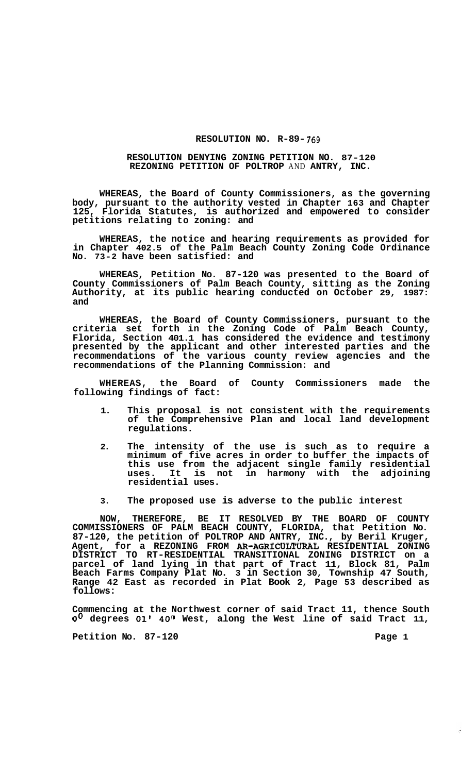## **RESOLUTION NO. R-89-** 769

## **RESOLUTION DENYING ZONING PETITION NO. 87-120 REZONING PETITION OF POLTROP** AND **ANTRY, INC.**

**WHEREAS, the Board of County Commissioners, as the governing body, pursuant to the authority vested in Chapter 163 and Chapter 125, Florida Statutes, is authorized and empowered to consider petitions relating to zoning: and** 

**WHEREAS, the notice and hearing requirements as provided for in Chapter 402.5 of the Palm Beach County Zoning Code Ordinance No. 73-2 have been satisfied: and** 

**WHEREAS, Petition No. 87-120 was presented to the Board of County Commissioners of Palm Beach County, sitting as the Zoning Authority, at its public hearing conducted on October 29, 1987: and** 

**WHEREAS, the Board of County Commissioners, pursuant to the criteria set forth in the Zoning Code of Palm Beach County, Florida, Section 401.1 has considered the evidence and testimony presented by the applicant and other interested parties and the recommendations of the various county review agencies and the recommendations of the Planning Commission: and** 

**WHEREAS, the Board of County Commissioners made the following findings of fact:** 

- **1. This proposal is not consistent with the requirements of the Comprehensive Plan and local land development regulations.**
- **2. The intensity of the use is such as to require a minimum of five acres in order to buffer the impacts of this use from the adjacent single family residential uses. It is not in harmony with the adjoining residential uses.**
- **3. The proposed use is adverse to the public interest**

**NOW, THEREFORE, BE IT RESOLVED BY THE BOARD OF COUNTY COMMISSIONERS OF PALM BEACH COUNTY, FLORIDA, that Petition No. 87-120, the petition of POLTROP AND ANTRY, INC., by Beril Kruger, Agent, for a REZONING FROM AR-AGRICULTURAL RESIDENTIAL ZONING DISTRICT TO RT-RESIDENTIAL TRANSITIONAL ZONING DISTRICT on a parcel of land lying in that part of Tract 11, Block 81, Palm Beach Farms Company Plat No. 3 in Section 30, Township 47 South, Range 42 East as recorded in Plat Book 2, Page 53 described as follows:** 

**Commencing at the Northwest corner of said Tract 11, thence South**  *Oo* **degrees 01' 40" West, along the West line of said Tract 11,** 

**Petition No. 87-120 Page 1** 

Ã